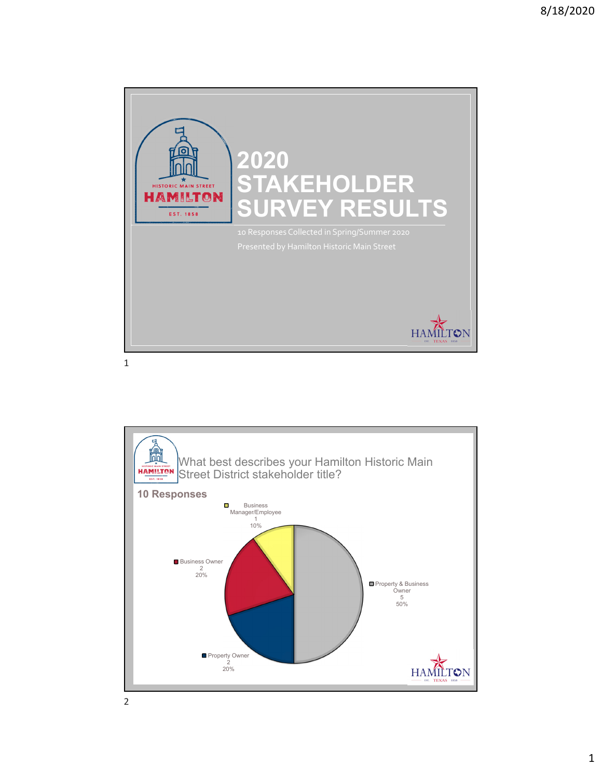



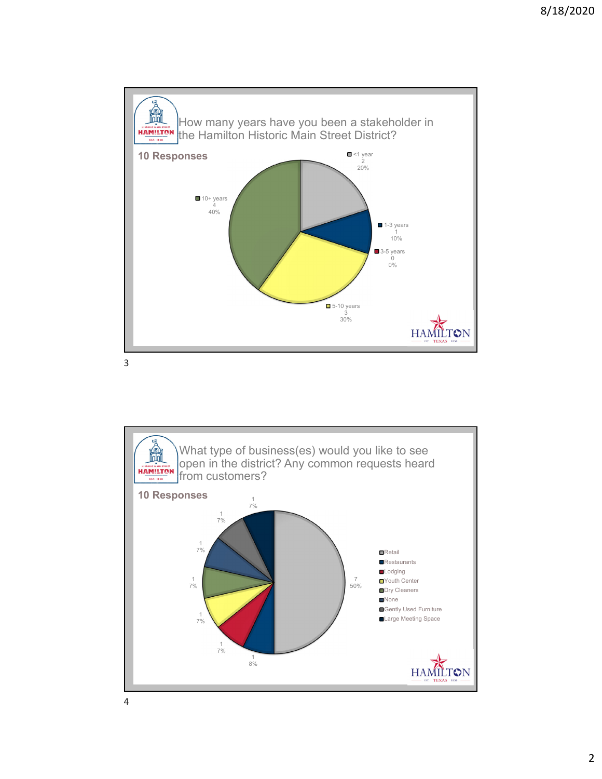

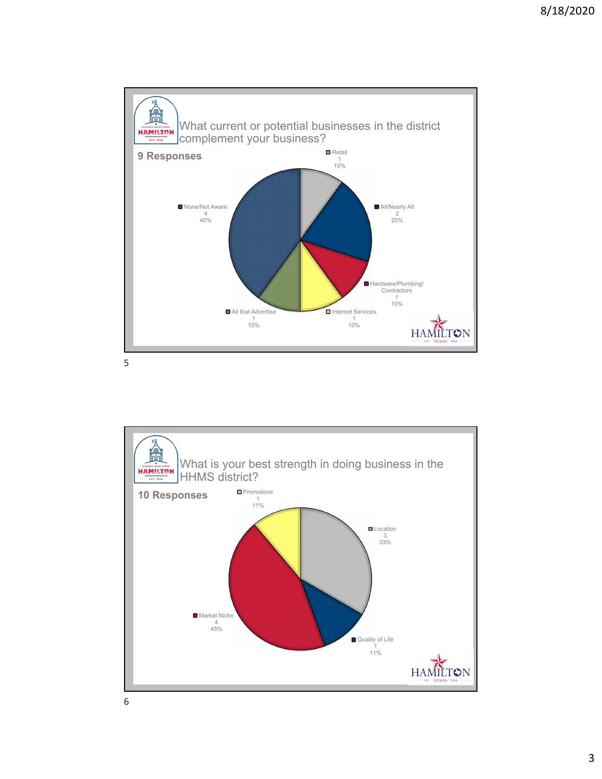

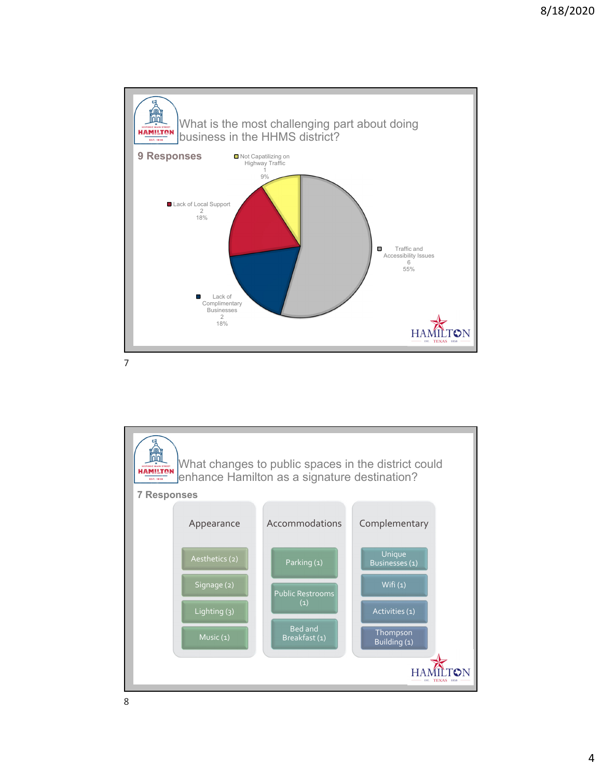

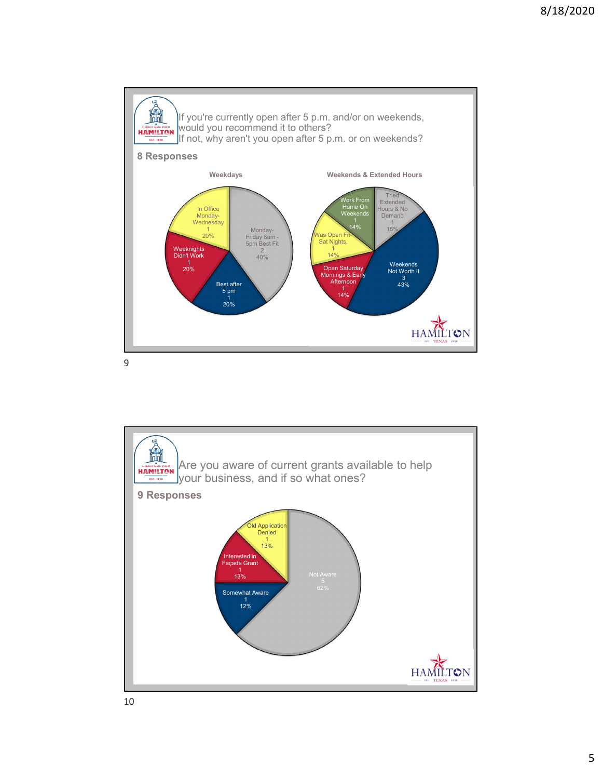

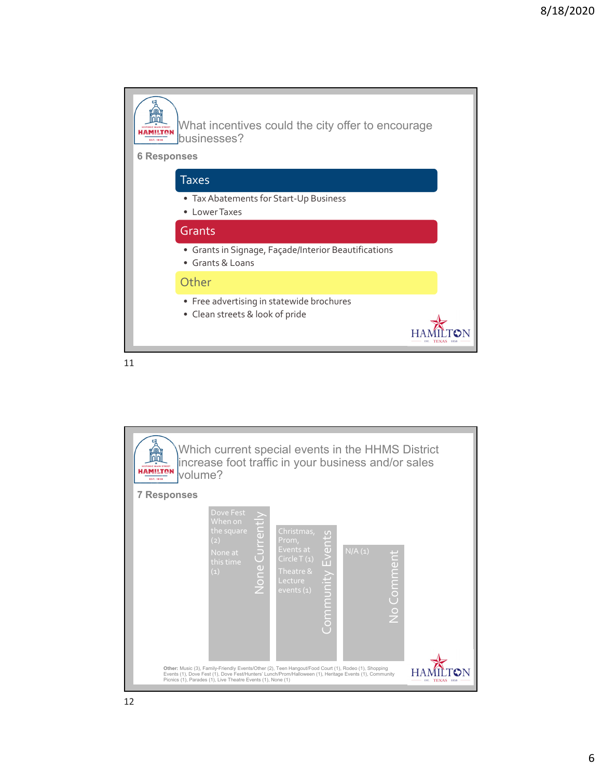

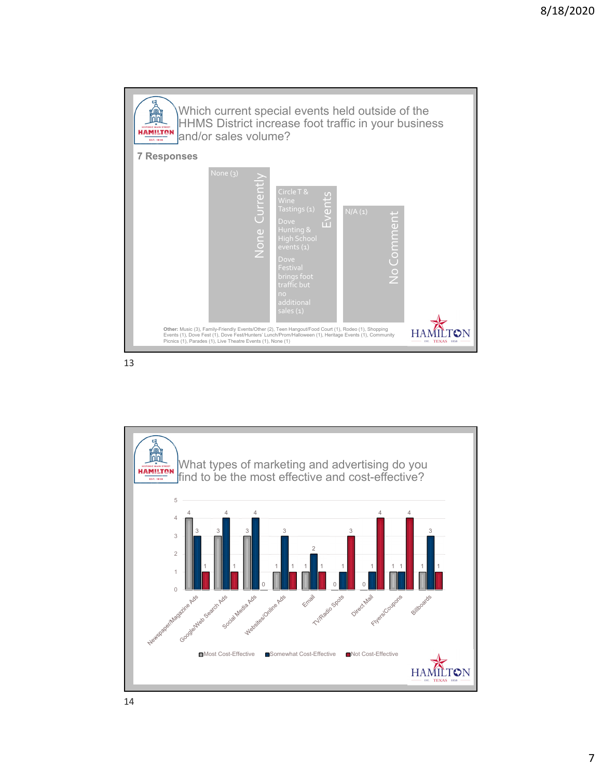

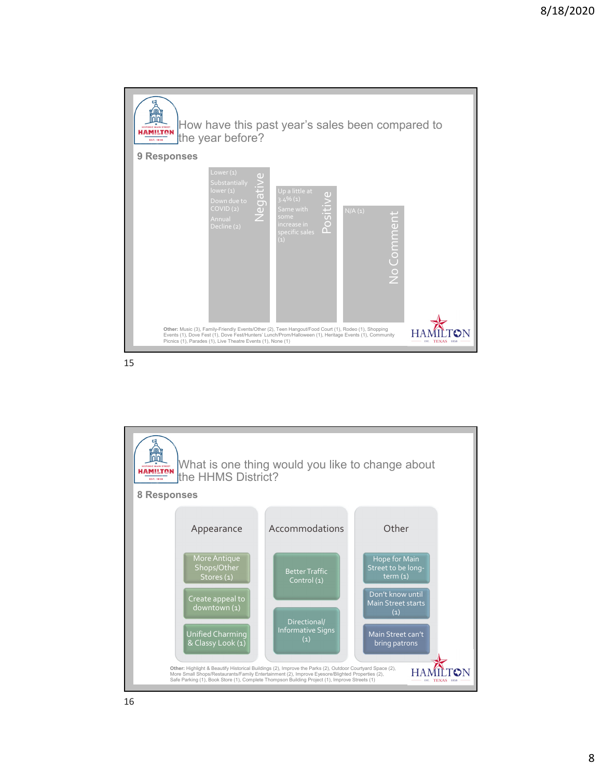

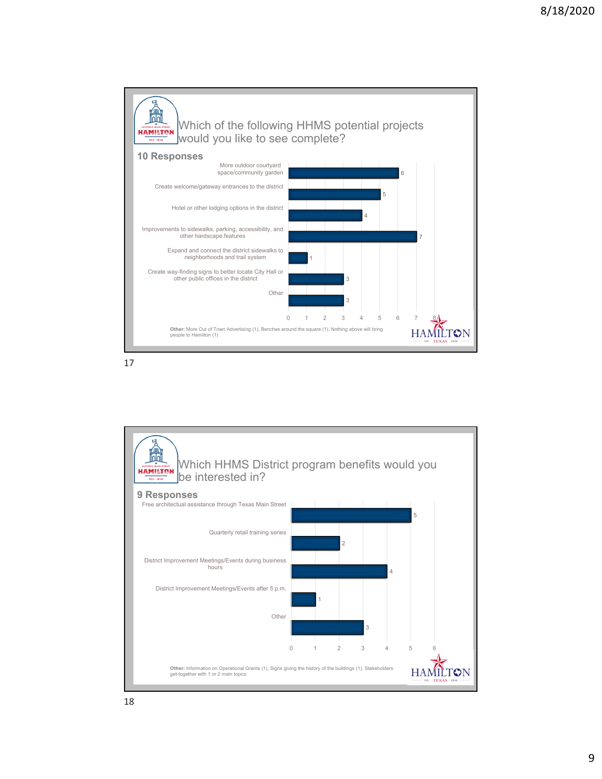